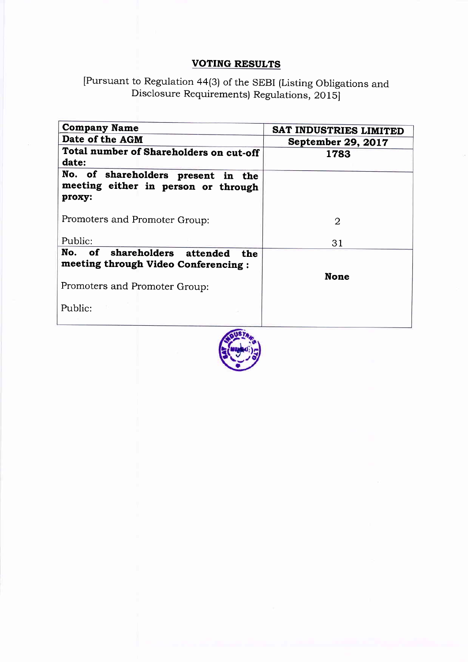## VOTING RESULTS

## [Pursuant to Regulation 44(3) of the SEBI (Listing obligations and Disclosure Requirements) Regulations, 20 15]

| <b>Company Name</b>                                                                 | SAT INDUSTRIES LIMITED    |  |  |  |  |  |
|-------------------------------------------------------------------------------------|---------------------------|--|--|--|--|--|
| Date of the AGM                                                                     | <b>September 29, 2017</b> |  |  |  |  |  |
| Total number of Shareholders on cut-off<br>date:                                    | 1783                      |  |  |  |  |  |
| No. of shareholders present in the<br>meeting either in person or through<br>proxy: |                           |  |  |  |  |  |
| Promoters and Promoter Group:                                                       | 2                         |  |  |  |  |  |
| Public:                                                                             | 31                        |  |  |  |  |  |
| No. of shareholders attended<br>the<br>meeting through Video Conferencing:          | <b>None</b>               |  |  |  |  |  |
| Promoters and Promoter Group:                                                       |                           |  |  |  |  |  |
| Public:                                                                             |                           |  |  |  |  |  |

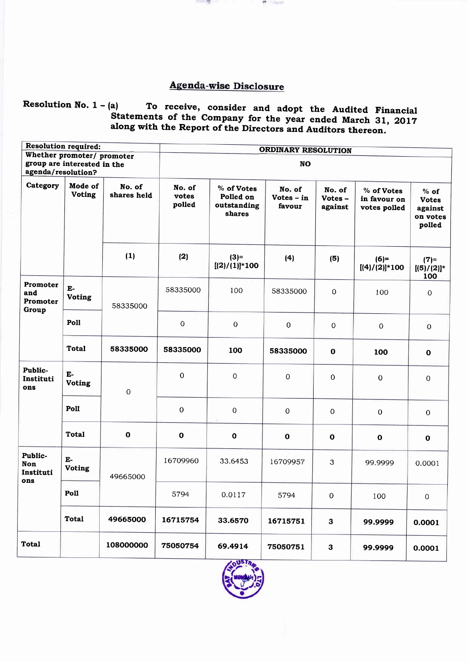## **Agenda-wise Disclosure**

m

ang pan

# Resolution No. 1 - (a) To receive, consider and adopt the Audited Financial<br>Statements of the Company for the year ended March 31, 2017<br>along with the Report of the Directors and Auditors thereon.

|                                      | <b>Resolution required:</b>                               |                       | ORDINARY RESOLUTION<br><b>NO</b> |                                                  |                                  |                             |                                            |                                                         |  |  |
|--------------------------------------|-----------------------------------------------------------|-----------------------|----------------------------------|--------------------------------------------------|----------------------------------|-----------------------------|--------------------------------------------|---------------------------------------------------------|--|--|
| agenda/resolution?                   | Whether promoter/ promoter<br>group are interested in the |                       |                                  |                                                  |                                  |                             |                                            |                                                         |  |  |
| Category                             | Mode of<br><b>Voting</b>                                  | No. of<br>shares held | No. of<br>votes<br>polled        | % of Votes<br>Polled on<br>outstanding<br>shares | No. of<br>$Votes - in$<br>favour | No. of<br>Votes-<br>against | % of Votes<br>in favour on<br>votes polled | $%$ of<br><b>Votes</b><br>against<br>on votes<br>polled |  |  |
|                                      |                                                           | (1)                   | (2)                              | $(3) =$<br>$[(2)/(1)]$ *100                      | (4)                              | (5)                         | $(6)=$<br>$[(4)/(2)]$ *100                 | $(7) =$<br>$[(5)/(2)]^*$<br>100                         |  |  |
| Promoter<br>and<br>Promoter<br>Group | E-<br>Voting                                              | 58335000              | 58335000                         | 100                                              | 58335000                         | $\mathbf 0$                 | 100                                        | $\mathbf 0$                                             |  |  |
|                                      | Poll                                                      |                       | $\mathbf 0$                      | $\overline{O}$                                   | $\mathbf 0$                      | 0                           | 0                                          | $\mathbf{O}$                                            |  |  |
|                                      | <b>Total</b>                                              | 58335000              | 58335000                         | 100                                              | 58335000                         | $\mathbf{o}$                | 100                                        | $\mathbf 0$                                             |  |  |
| Public-<br>Instituti<br>ons          | ${\bf E}$<br><b>Voting</b>                                | $\mathbf 0$           | 0                                | $\mathbf 0$                                      | $\mathbf 0$                      | $\mathbf 0$                 | $\mathbf 0$                                | $\Omega$                                                |  |  |
|                                      | Poll                                                      |                       | $\mathbf 0$                      | $\pmb{0}$                                        | 0                                | $\mathbf 0$                 | $\mathbf 0$                                | $\mathbf 0$                                             |  |  |
|                                      | <b>Total</b>                                              | $\mathbf 0$           | $\mathbf{o}$                     | $\mathbf 0$                                      | $\mathbf{o}$                     | $\mathbf o$                 | $\mathbf{o}$                               | $\mathbf{o}$                                            |  |  |
| Public-<br>Non<br>Instituti<br>ons   | $E-$<br><b>Voting</b>                                     | 49665000              | 16709960                         | 33.6453                                          | 16709957                         | 3                           | 99.9999                                    | 0.0001                                                  |  |  |
|                                      | Poll                                                      |                       | 5794                             | 0.0117                                           | 5794                             | $\pmb{0}$                   | 100                                        | $\mathbf 0$                                             |  |  |
|                                      | <b>Total</b>                                              | 49665000              | 16715754                         | 33.6570                                          | 16715751                         | $\mathbf{3}$                | 99.9999                                    | 0.0001                                                  |  |  |
| <b>Total</b>                         |                                                           | 108000000             | 75050754                         | 69.4914                                          | 75050751                         | 3                           | 99.9999                                    | 0.0001                                                  |  |  |

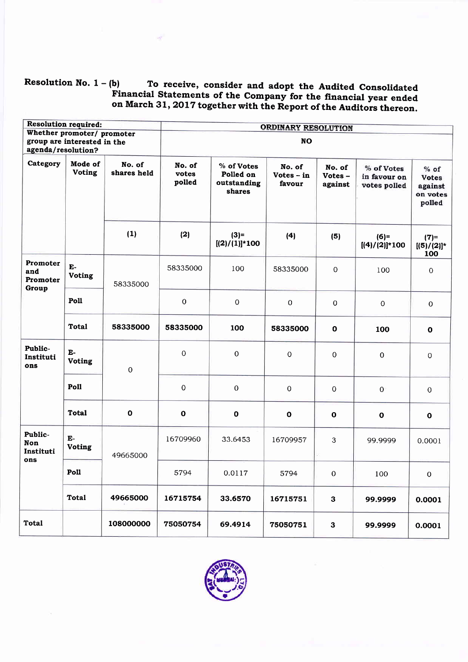## Resolution No.  $1 - (b)$  To receive, consider and adopt the Audited Consolidated<br>Financial Statements of the Company for the financial year ended on March 31, 2017 together with the Report of the Auditors thereon.

| <b>Resolution required:</b>                               |                                                   |             | <b>ORDINARY RESOLUTION</b> |                                                  |                                  |                             |                                            |                                                         |  |  |
|-----------------------------------------------------------|---------------------------------------------------|-------------|----------------------------|--------------------------------------------------|----------------------------------|-----------------------------|--------------------------------------------|---------------------------------------------------------|--|--|
| Whether promoter/ promoter<br>group are interested in the |                                                   | <b>NO</b>   |                            |                                                  |                                  |                             |                                            |                                                         |  |  |
| agenda/resolution?                                        |                                                   |             |                            |                                                  |                                  |                             |                                            |                                                         |  |  |
| Category                                                  | Mode of<br>No. of<br><b>Voting</b><br>shares held |             | No. of<br>votes<br>polled  | % of Votes<br>Polled on<br>outstanding<br>shares | No. of<br>$Votes - in$<br>favour | No. of<br>Votes-<br>against | % of Votes<br>in favour on<br>votes polled | $%$ of<br><b>Votes</b><br>against<br>on votes<br>polled |  |  |
|                                                           |                                                   | (1)         | (2)                        | $(3) =$<br>$[(2)/(1)]$ *100                      | (4)                              | (5)                         | $(6)=$<br>$[(4)/(2)]$ *100                 | $(7)=$<br>$[(5)/(2)]^*$<br>100                          |  |  |
| Promoter<br>and<br>Promoter<br>Group                      | E-<br><b>Voting</b>                               | 58335000    | 58335000                   | 100                                              | 58335000                         | $\mathbf 0$                 | 100                                        | $\mathbf 0$                                             |  |  |
|                                                           | Poll                                              |             | $\boldsymbol{0}$           | $\mathbf 0$                                      | $\mathbf 0$                      | $\mathbf 0$                 | $\mathbf 0$                                | $\mathbf 0$                                             |  |  |
|                                                           | <b>Total</b>                                      | 58335000    | 58335000                   | 100                                              | 58335000                         | $\mathbf 0$                 | 100                                        | $\mathbf 0$                                             |  |  |
| Public-<br>Instituti<br>ons                               | $E-$<br><b>Voting</b>                             | 0           | 0                          | $\mathbf 0$                                      | 0                                | 0                           | $\mathbf 0$                                | $\mathbf 0$                                             |  |  |
|                                                           | Poll                                              |             | $\mathbf 0$                | $\mathbf 0$                                      | $\mathbf 0$                      | $\mathbf 0$                 | $\overline{0}$                             | $\mathbf 0$                                             |  |  |
|                                                           | <b>Total</b>                                      | $\mathbf 0$ | $\mathbf 0$                | $\mathbf{o}$                                     | $\mathbf{o}$                     | $\mathbf 0$                 | $\mathbf{o}$                               | $\mathbf{o}$                                            |  |  |
| Public-<br>Non<br>Instituti<br>ons                        | $E-$<br><b>Voting</b>                             | 49665000    | 16709960                   | 33.6453                                          | 16709957                         | 3                           | 99.9999                                    | 0.0001                                                  |  |  |
|                                                           | Poll                                              |             | 5794                       | 0.0117                                           | 5794                             | $\mathbf{O}$                | 100                                        | $\overline{0}$                                          |  |  |
|                                                           | <b>Total</b>                                      | 49665000    | 16715754                   | 33.6570                                          | 16715751                         | $\mathbf{3}$                | 99.9999                                    | 0.0001                                                  |  |  |
| <b>Total</b>                                              |                                                   | 108000000   | 75050754                   | 69.4914                                          | 75050751                         | $\mathbf{3}$                | 99.9999                                    | 0.0001                                                  |  |  |

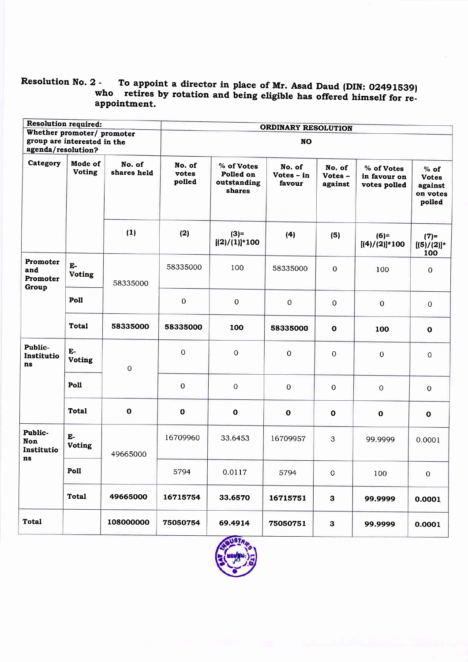## Resolution No. 2 -2 - To appoint a director in place of Mr. Asad Daud (DIN: 02491539)<br>who retires by rotation and being eligible has offered himself for reappointment.

|                                           | <b>Resolution required:</b>                               |                | ORDINARY RESOLUTION   |                             |                                                  |                                        |                             |                                            |                                                         |  |
|-------------------------------------------|-----------------------------------------------------------|----------------|-----------------------|-----------------------------|--------------------------------------------------|----------------------------------------|-----------------------------|--------------------------------------------|---------------------------------------------------------|--|
| agenda/resolution?                        | Whether promoter/ promoter<br>group are interested in the |                | <b>NO</b>             |                             |                                                  |                                        |                             |                                            |                                                         |  |
| Category                                  | Mode of<br><b>Voting</b>                                  |                | No. of<br>shares held | No. of<br>votes<br>polled   | % of Votes<br>Polled on<br>outstanding<br>shares | No. of<br>Votes - in<br>favour<br>Ta 1 | No. of<br>Votes-<br>against | % of Votes<br>in favour on<br>votes polled | $%$ of<br><b>Votes</b><br>against<br>on votes<br>polled |  |
|                                           |                                                           | (1)            | (2)                   | $(3) =$<br>$[(2)/(1)]$ *100 | (4)                                              | (5)                                    | $(6)=$<br>$[(4)/(2)]$ *100  | $(7) =$<br>$[(5)/(2)]^*$<br>100            |                                                         |  |
| Promoter<br>and<br>Promoter<br>Group      | Е-<br><b>Voting</b>                                       | 58335000       | 58335000              | 100                         | 58335000                                         | $\mathbf 0$                            | 100                         | $\boldsymbol{0}$                           |                                                         |  |
|                                           | Poll                                                      |                | $\mathbf 0$           | $\boldsymbol{0}$            | $\mathbf 0$                                      | $\pmb{0}$                              | $\mathbf{O}$                | $\mathbf 0$                                |                                                         |  |
|                                           | Total                                                     | 58335000       | 58335000              | 100                         | 58335000                                         | $\mathbf 0$                            | 100                         | $\mathbf o$                                |                                                         |  |
| Public-<br>Institutio<br>ns               | E-<br><b>Voting</b>                                       | $\overline{0}$ | 0                     | 0                           | 0                                                | 0                                      | 0                           | $\mathbf 0$                                |                                                         |  |
|                                           | Poll                                                      |                | 0                     | $\overline{0}$              | $\mathbf 0$                                      | $\mathbf 0$                            | $\mathbf 0$                 | $\mathbf{0}$                               |                                                         |  |
|                                           | <b>Total</b>                                              | $\mathbf{o}$   | $\mathbf{o}$          | $\mathbf 0$                 | $\mathbf o$                                      | $\pmb{0}$                              | $\mathbf{o}$                | $\mathbf{o}$                               |                                                         |  |
| Public-<br><b>Non</b><br>Institutio<br>ns | $E-$<br><b>Voting</b>                                     | 49665000       | 16709960              | 33.6453                     | 16709957                                         | 3                                      | 99.9999                     | 0.0001                                     |                                                         |  |
|                                           | Poll                                                      |                | 5794                  | 0.0117                      | 5794                                             | $\mathbf 0$                            | 100                         | 0                                          |                                                         |  |
|                                           | <b>Total</b>                                              | 49665000       | 16715754              | 33.6570                     | 16715751                                         | $\mathbf{3}$                           | 99.9999                     | 0.0001                                     |                                                         |  |
| <b>Total</b>                              |                                                           | 108000000      | 75050754              | 69.4914                     | 75050751                                         | $\mathbf{3}$                           | 99.9999                     | 0.0001                                     |                                                         |  |
|                                           |                                                           |                |                       | WSTA.                       |                                                  |                                        |                             |                                            |                                                         |  |

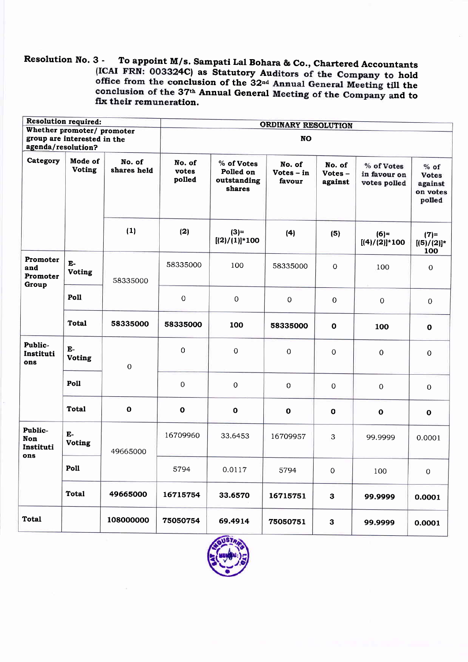Resolution No. 3 -To appoint M/s. Sampati Lal Bohara & Co., Chartered Accountants (ICAI FRN: 003324C) as Statutory Auditors of the Company to hold<br>office from the conclusion of the 32<sup>nd</sup> Annual General Meeting till the<br>conclusion of the 37<sup>th</sup> Annual General Meeting of the Company and to fix their remuneration.

|                                                                                 | <b>Resolution required:</b>                       |              | <b>ORDINARY RESOLUTION</b> |                                                  |                                  |                             |                                            |                                                         |  |  |
|---------------------------------------------------------------------------------|---------------------------------------------------|--------------|----------------------------|--------------------------------------------------|----------------------------------|-----------------------------|--------------------------------------------|---------------------------------------------------------|--|--|
| Whether promoter/ promoter<br>group are interested in the<br>agenda/resolution? |                                                   |              | <b>NO</b>                  |                                                  |                                  |                             |                                            |                                                         |  |  |
| Category                                                                        | Mode of<br>No. of<br><b>Voting</b><br>shares held |              | No. of<br>votes<br>polled  | % of Votes<br>Polled on<br>outstanding<br>shares | No. of<br>$Votes - in$<br>favour | No. of<br>Votes-<br>against | % of Votes<br>in favour on<br>votes polled | $%$ of<br><b>Votes</b><br>against<br>on votes<br>polled |  |  |
|                                                                                 |                                                   | (1)          | (2)                        | $(3) =$<br>$[(2)/(1)]$ *100                      | (4)                              | (5)                         | $(6)=$<br>$[(4)/(2)]$ *100                 | $(7) =$<br>$[(5)/(2)]^*$<br>100                         |  |  |
| Promoter<br>and<br>Promoter<br>Group                                            | E-<br><b>Voting</b>                               | 58335000     | 58335000                   | 100                                              | 58335000                         | $\Omega$                    | 100                                        | $\boldsymbol{0}$                                        |  |  |
|                                                                                 | Poll                                              |              | $\mathbf 0$                | $\mathbf 0$                                      | $\mathbf 0$                      | $\boldsymbol{0}$            | $\overline{0}$                             | $\mathbf 0$                                             |  |  |
|                                                                                 | <b>Total</b>                                      | 58335000     | 58335000                   | 100                                              | 58335000                         | $\mathbf{o}$                | 100                                        | $\mathbf 0$                                             |  |  |
| Public-<br>Instituti<br>ons                                                     | $E-$<br><b>Voting</b>                             | $\mathbf 0$  | $\mathsf{O}\xspace$        | 0                                                | 0                                | 0                           | $\pmb{0}$                                  | $\mathbf 0$                                             |  |  |
|                                                                                 | Poll                                              |              | 0                          | $\mathbf 0$                                      | $\mathbf 0$                      | 0                           | $\mathbf 0$                                | $\mathbf{0}$                                            |  |  |
|                                                                                 | <b>Total</b>                                      | $\mathbf{o}$ | $\pmb{0}$                  | $\mathbf 0$                                      | $\mathbf 0$                      | $\mathbf o$                 | $\mathbf 0$                                | $\mathbf o$                                             |  |  |
| Public-<br><b>Non</b><br>Instituti<br>ons                                       | E-<br>Voting                                      | 49665000     | 16709960                   | 33.6453                                          | 16709957                         | 3                           | 99.9999                                    | 0.0001                                                  |  |  |
|                                                                                 | Poll                                              |              | 5794                       | 0.0117                                           | 5794                             | $\mathbf 0$                 | 100                                        | $\overline{0}$                                          |  |  |
|                                                                                 | <b>Total</b>                                      | 49665000     | 16715754                   | 33.6570                                          | 16715751                         | 3                           | 99.9999                                    | 0.0001                                                  |  |  |
| <b>Total</b>                                                                    |                                                   | 108000000    | 75050754                   | 69.4914                                          | 75050751                         | ${\bf 3}$                   | 99.9999                                    | 0.0001                                                  |  |  |

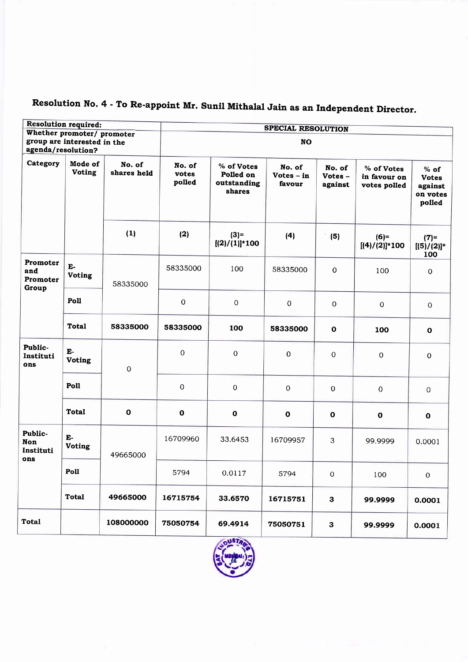|                                           | <b>Resolution required:</b>                       |             | <b>SPECIAL RESOLUTION</b> |                                                  |                                  |                             |                                            |                                                         |  |  |  |
|-------------------------------------------|---------------------------------------------------|-------------|---------------------------|--------------------------------------------------|----------------------------------|-----------------------------|--------------------------------------------|---------------------------------------------------------|--|--|--|
| Whether promoter/ promoter                |                                                   |             |                           |                                                  |                                  |                             |                                            |                                                         |  |  |  |
|                                           | group are interested in the                       |             |                           | <b>NO</b>                                        |                                  |                             |                                            |                                                         |  |  |  |
| agenda/resolution?                        |                                                   |             |                           |                                                  |                                  |                             |                                            |                                                         |  |  |  |
| Category                                  | Mode of<br>No. of<br><b>Voting</b><br>shares held |             | No. of<br>votes<br>polled | % of Votes<br>Polled on<br>outstanding<br>shares | No. of<br>Votes $-$ in<br>favour | No. of<br>Votes-<br>against | % of Votes<br>in favour on<br>votes polled | $%$ of<br><b>Votes</b><br>against<br>on votes<br>polled |  |  |  |
|                                           |                                                   | (1)         | (2)                       | $(3) =$<br>$[(2)/(1)]$ *100                      | (4)                              | (5)                         | $(6)=$<br>$[(4)/(2)]$ *100                 | $(7) =$<br>$[(5)/(2)]$ *<br>100                         |  |  |  |
| Promoter<br>and<br>Promoter<br>Group      | $E-$<br><b>Voting</b>                             | 58335000    | 58335000                  | 100                                              | 58335000                         | $\mathbf 0$                 | 100                                        | $\mathbf 0$                                             |  |  |  |
|                                           | Poll                                              |             | $\overline{0}$            | $\mathbf 0$                                      | $\mathbf 0$                      | $\mathbf 0$                 | $\mathbf 0$                                | $\mathbf 0$                                             |  |  |  |
|                                           | <b>Total</b>                                      | 58335000    | 58335000                  | 100                                              | 58335000                         | $\mathbf{o}$                | 100                                        | $\mathbf 0$                                             |  |  |  |
| Public-<br>Instituti<br>ons               | $E-$<br><b>Voting</b>                             | $\mathbf 0$ | $\mathbf 0$               | $\overline{0}$                                   | $\pmb{0}$                        | $\mathbf 0$                 | $\mathbf 0$                                | $\mathbf 0$                                             |  |  |  |
|                                           | Poll                                              |             | $\mathbf 0$               | 0                                                | 0                                | $\boldsymbol{0}$            | $\boldsymbol{0}$                           | $\overline{O}$                                          |  |  |  |
|                                           | <b>Total</b>                                      | $\mathbf 0$ | $\mathbf{o}$              | $\mathbf 0$                                      | $\mathbf 0$                      | $\mathbf 0$                 | $\mathbf{o}$                               | $\mathbf 0$                                             |  |  |  |
| Public-<br><b>Non</b><br>Instituti<br>ons | E-<br><b>Voting</b>                               | 49665000    | 16709960                  | 33.6453                                          | 16709957                         | 3                           | 99.9999                                    | 0.0001                                                  |  |  |  |
|                                           | Poll                                              |             | 5794                      | 0.0117                                           | 5794                             | $\mathbf 0$                 | 100                                        | $\overline{0}$                                          |  |  |  |
|                                           | <b>Total</b>                                      | 49665000    | 16715754                  | 33.6570                                          | 16715751                         | $\mathbf{3}$                | 99.9999                                    | 0.0001                                                  |  |  |  |
| Total                                     |                                                   | 108000000   | 75050754                  | 69.4914                                          | 75050751                         | 3                           | 99.9999                                    | 0.0001                                                  |  |  |  |

## Resolution No. 4 - To Re-appoint Mr. Sunil Mithalal Jain as an Independent Director.

 $\Gamma$